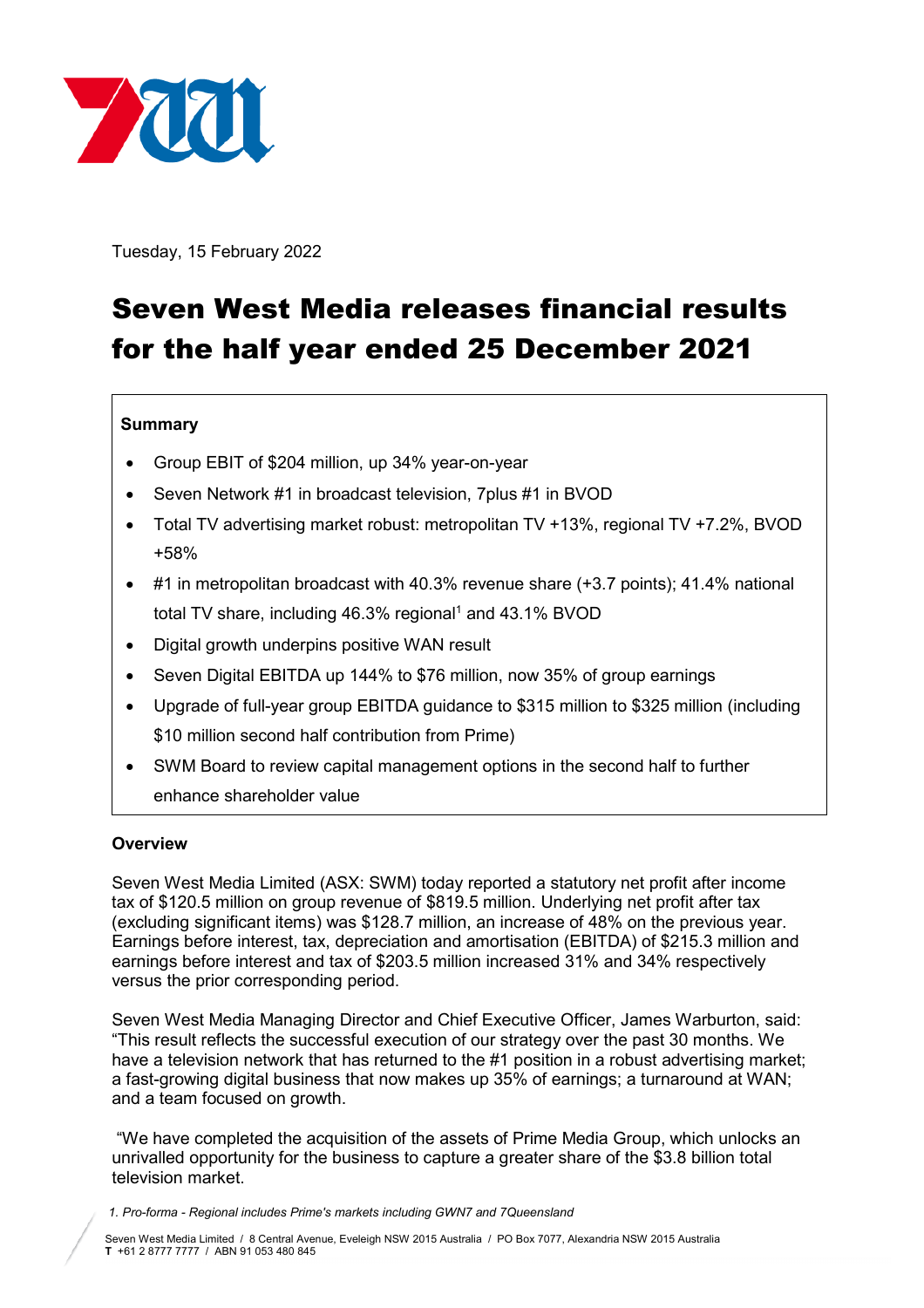

Tuesday, 15 February 2022

# Seven West Media releases financial results for the half year ended 25 December 2021

# **Summary**

- Group EBIT of \$204 million, up 34% year-on-year
- Seven Network #1 in broadcast television, 7plus #1 in BVOD
- Total TV advertising market robust: metropolitan TV +13%, regional TV +7.2%, BVOD +58%
- #1 in metropolitan broadcast with 40.3% revenue share (+3.7 points); 41.4% national total TV share, including 46.3% regional<sup>1</sup> and 43.1% BVOD
- Digital growth underpins positive WAN result
- Seven Digital EBITDA up 144% to \$76 million, now 35% of group earnings
- Upgrade of full-year group EBITDA guidance to \$315 million to \$325 million (including \$10 million second half contribution from Prime)
- SWM Board to review capital management options in the second half to further enhance shareholder value

## **Overview**

Seven West Media Limited (ASX: SWM) today reported a statutory net profit after income tax of \$120.5 million on group revenue of \$819.5 million. Underlying net profit after tax (excluding significant items) was \$128.7 million, an increase of 48% on the previous year. Earnings before interest, tax, depreciation and amortisation (EBITDA) of \$215.3 million and earnings before interest and tax of \$203.5 million increased 31% and 34% respectively versus the prior corresponding period.

Seven West Media Managing Director and Chief Executive Officer, James Warburton, said: "This result reflects the successful execution of our strategy over the past 30 months. We have a television network that has returned to the #1 position in a robust advertising market; a fast-growing digital business that now makes up 35% of earnings; a turnaround at WAN; and a team focused on growth.

"We have completed the acquisition of the assets of Prime Media Group, which unlocks an unrivalled opportunity for the business to capture a greater share of the \$3.8 billion total television market.

*1. Pro-forma - Regional includes Prime's markets including GWN7 and 7Queensland*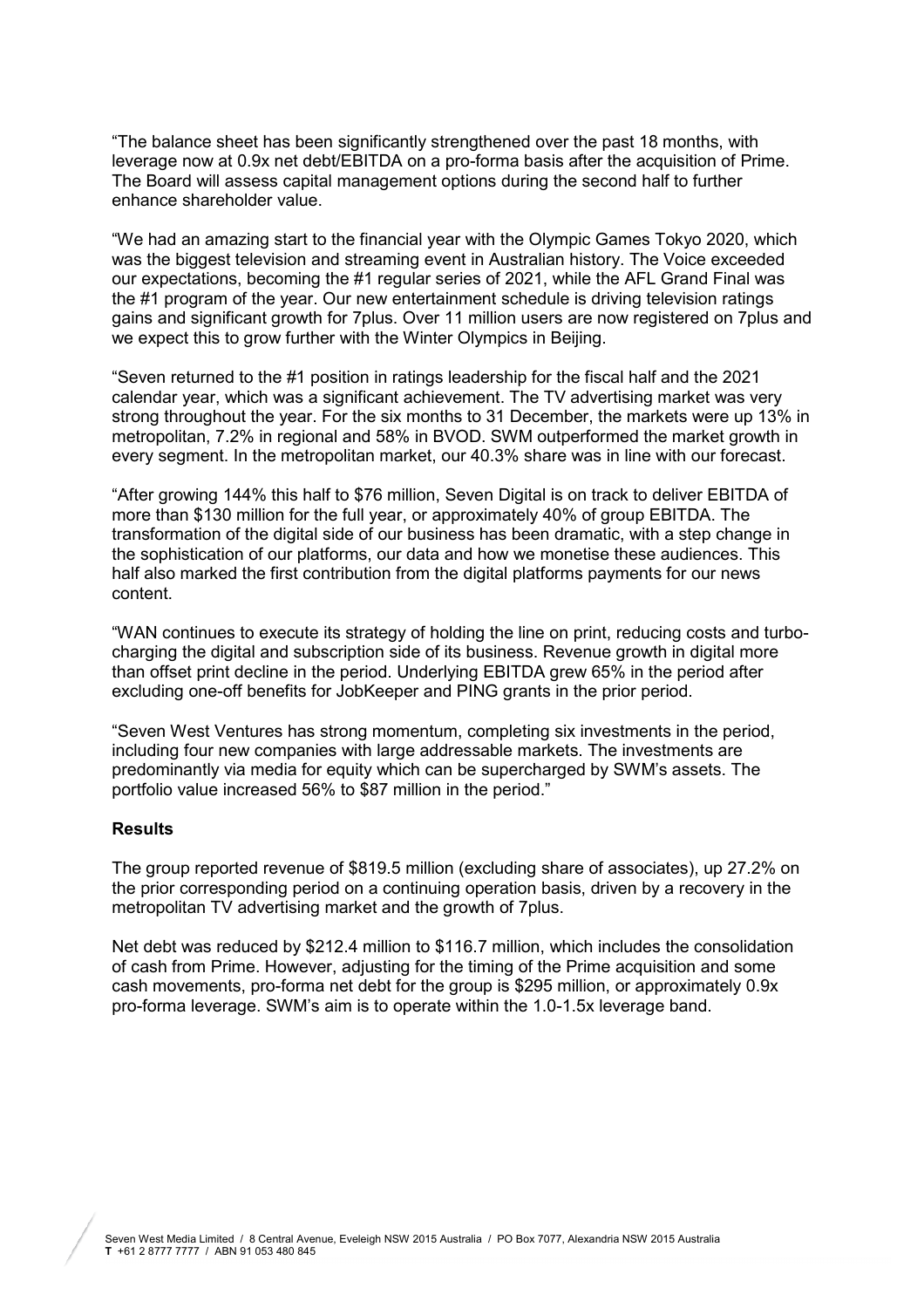"The balance sheet has been significantly strengthened over the past 18 months, with leverage now at 0.9x net debt/EBITDA on a pro-forma basis after the acquisition of Prime. The Board will assess capital management options during the second half to further enhance shareholder value.

"We had an amazing start to the financial year with the Olympic Games Tokyo 2020, which was the biggest television and streaming event in Australian history. The Voice exceeded our expectations, becoming the #1 regular series of 2021, while the AFL Grand Final was the #1 program of the year. Our new entertainment schedule is driving television ratings gains and significant growth for 7plus. Over 11 million users are now registered on 7plus and we expect this to grow further with the Winter Olympics in Beijing.

"Seven returned to the #1 position in ratings leadership for the fiscal half and the 2021 calendar year, which was a significant achievement. The TV advertising market was very strong throughout the year. For the six months to 31 December, the markets were up 13% in metropolitan, 7.2% in regional and 58% in BVOD. SWM outperformed the market growth in every segment. In the metropolitan market, our 40.3% share was in line with our forecast.

"After growing 144% this half to \$76 million, Seven Digital is on track to deliver EBITDA of more than \$130 million for the full year, or approximately 40% of group EBITDA. The transformation of the digital side of our business has been dramatic, with a step change in the sophistication of our platforms, our data and how we monetise these audiences. This half also marked the first contribution from the digital platforms payments for our news content.

"WAN continues to execute its strategy of holding the line on print, reducing costs and turbocharging the digital and subscription side of its business. Revenue growth in digital more than offset print decline in the period. Underlying EBITDA grew 65% in the period after excluding one-off benefits for JobKeeper and PING grants in the prior period.

"Seven West Ventures has strong momentum, completing six investments in the period, including four new companies with large addressable markets. The investments are predominantly via media for equity which can be supercharged by SWM's assets. The portfolio value increased 56% to \$87 million in the period."

## **Results**

The group reported revenue of \$819.5 million (excluding share of associates), up 27.2% on the prior corresponding period on a continuing operation basis, driven by a recovery in the metropolitan TV advertising market and the growth of 7plus.

Net debt was reduced by \$212.4 million to \$116.7 million, which includes the consolidation of cash from Prime. However, adjusting for the timing of the Prime acquisition and some cash movements, pro-forma net debt for the group is \$295 million, or approximately 0.9x pro-forma leverage. SWM's aim is to operate within the 1.0-1.5x leverage band.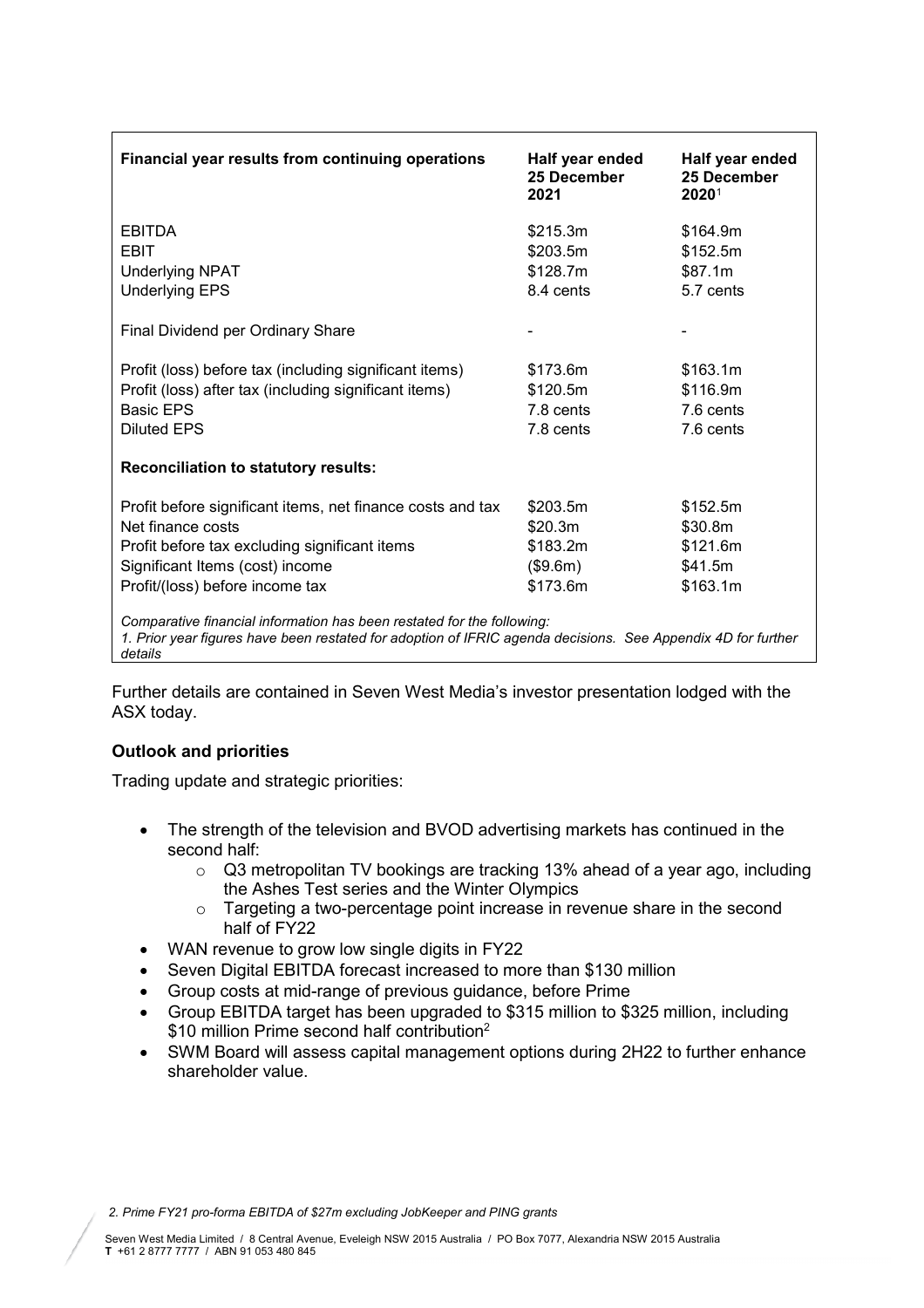| Financial year results from continuing operations                                                                                                                                                 | Half year ended<br>25 December<br>2021 | Half year ended<br>25 December<br>2020 <sup>1</sup> |
|---------------------------------------------------------------------------------------------------------------------------------------------------------------------------------------------------|----------------------------------------|-----------------------------------------------------|
| EBITDA                                                                                                                                                                                            | \$215.3m                               | \$164.9m                                            |
| EBIT                                                                                                                                                                                              | \$203.5m                               | \$152.5m                                            |
| <b>Underlying NPAT</b>                                                                                                                                                                            | \$128.7m                               | \$87.1m                                             |
| <b>Underlying EPS</b>                                                                                                                                                                             | 8.4 cents                              | 5.7 cents                                           |
| Final Dividend per Ordinary Share                                                                                                                                                                 |                                        |                                                     |
| Profit (loss) before tax (including significant items)                                                                                                                                            | \$173.6m                               | \$163.1m                                            |
| Profit (loss) after tax (including significant items)                                                                                                                                             | \$120.5m                               | \$116.9m                                            |
| <b>Basic EPS</b>                                                                                                                                                                                  | 7.8 cents                              | 7.6 cents                                           |
| <b>Diluted EPS</b>                                                                                                                                                                                | 7.8 cents                              | 7.6 cents                                           |
| <b>Reconciliation to statutory results:</b>                                                                                                                                                       |                                        |                                                     |
| Profit before significant items, net finance costs and tax                                                                                                                                        | \$203.5m                               | \$152.5m                                            |
| Net finance costs                                                                                                                                                                                 | \$20.3m                                | \$30.8m                                             |
| Profit before tax excluding significant items                                                                                                                                                     | \$183.2m                               | \$121.6m                                            |
| Significant Items (cost) income                                                                                                                                                                   | (\$9.6m)                               | \$41.5m                                             |
| Profit/(loss) before income tax                                                                                                                                                                   | \$173.6m                               | \$163.1m                                            |
| Comparative financial information has been restated for the following:<br>1. Prior year figures have been restated for adoption of IFRIC agenda decisions. See Appendix 4D for further<br>details |                                        |                                                     |

Further details are contained in Seven West Media's investor presentation lodged with the ASX today.

## **Outlook and priorities**

Trading update and strategic priorities:

- The strength of the television and BVOD advertising markets has continued in the second half:
	- o Q3 metropolitan TV bookings are tracking 13% ahead of a year ago, including the Ashes Test series and the Winter Olympics
	- o Targeting a two-percentage point increase in revenue share in the second half of FY22
- WAN revenue to grow low single digits in FY22
- Seven Digital EBITDA forecast increased to more than \$130 million
- Group costs at mid-range of previous guidance, before Prime
- Group EBITDA target has been upgraded to \$315 million to \$325 million, including \$10 million Prime second half contribution<sup>2</sup>
- SWM Board will assess capital management options during 2H22 to further enhance shareholder value.